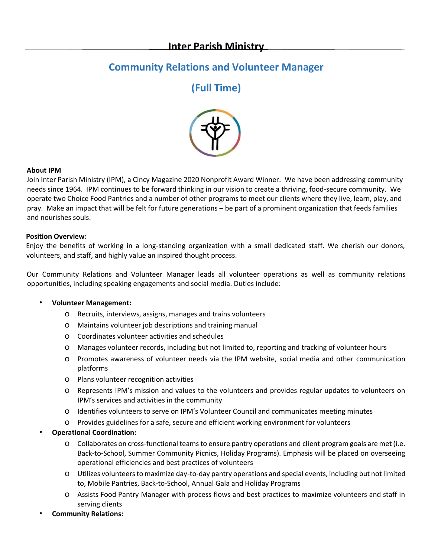## **Community Relations and Volunteer Manager**

# **(Full Time)**



## **About IPM**

Join Inter Parish Ministry (IPM), a Cincy Magazine 2020 Nonprofit Award Winner. We have been addressing community needs since 1964. IPM continues to be forward thinking in our vision to create a thriving, food-secure community. We operate two Choice Food Pantries and a number of other programs to meet our clients where they live, learn, play, and pray. Make an impact that will be felt for future generations – be part of a prominent organization that feeds families and nourishes souls.

### **Position Overview:**

Enjoy the benefits of working in a long-standing organization with a small dedicated staff. We cherish our donors, volunteers, and staff, and highly value an inspired thought process.

Our Community Relations and Volunteer Manager leads all volunteer operations as well as community relations opportunities, including speaking engagements and social media. Duties include:

#### • **Volunteer Management:**

- o Recruits, interviews, assigns, manages and trains volunteers
- o Maintains volunteer job descriptions and training manual
- o Coordinates volunteer activities and schedules
- o Manages volunteer records, including but not limited to, reporting and tracking of volunteer hours
- o Promotes awareness of volunteer needs via the IPM website, social media and other communication platforms
- o Plans volunteer recognition activities
- o Represents IPM's mission and values to the volunteers and provides regular updates to volunteers on IPM's services and activities in the community
- o Identifies volunteers to serve on IPM's Volunteer Council and communicates meeting minutes
- o Provides guidelines for a safe, secure and efficient working environment for volunteers
- **Operational Coordination:**
	- o Collaborates on cross-functional teams to ensure pantry operations and client program goals are met (i.e. Back-to-School, Summer Community Picnics, Holiday Programs). Emphasis will be placed on overseeing operational efficiencies and best practices of volunteers
	- o Utilizes volunteers to maximize day-to-day pantry operations and special events, including but not limited to, Mobile Pantries, Back-to-School, Annual Gala and Holiday Programs
	- o Assists Food Pantry Manager with process flows and best practices to maximize volunteers and staff in serving clients
- **Community Relations:**